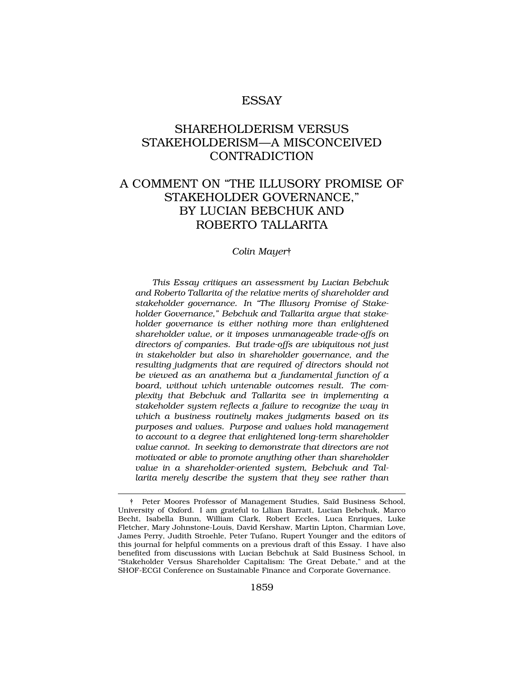## ESSAY

# SHAREHOLDERISM VERSUS STAKEHOLDERISM—A MISCONCEIVED **CONTRADICTION**

# A COMMENT ON "THE ILLUSORY PROMISE OF STAKEHOLDER GOVERNANCE," BY LUCIAN BEBCHUK AND ROBERTO TALLARITA

*Colin Mayer*†

*This Essay critiques an assessment by Lucian Bebchuk and Roberto Tallarita of the relative merits of shareholder and stakeholder governance. In "The Illusory Promise of Stakeholder Governance," Bebchuk and Tallarita argue that stakeholder governance is either nothing more than enlightened shareholder value, or it imposes unmanageable trade-offs on directors of companies. But trade-offs are ubiquitous not just in stakeholder but also in shareholder governance, and the resulting judgments that are required of directors should not be viewed as an anathema but a fundamental function of a board, without which untenable outcomes result. The complexity that Bebchuk and Tallarita see in implementing a stakeholder system reflects a failure to recognize the way in which a business routinely makes judgments based on its purposes and values. Purpose and values hold management to account to a degree that enlightened long-term shareholder value cannot. In seeking to demonstrate that directors are not motivated or able to promote anything other than shareholder value in a shareholder-oriented system, Bebchuk and Tallarita merely describe the system that they see rather than* 

<sup>†</sup> Peter Moores Professor of Management Studies, Sa¨ıd Business School, University of Oxford. I am grateful to Lilian Barratt, Lucian Bebchuk, Marco Becht, Isabella Bunn, William Clark, Robert Eccles, Luca Enriques, Luke Fletcher, Mary Johnstone-Louis, David Kershaw, Martin Lipton, Charmian Love, James Perry, Judith Stroehle, Peter Tufano, Rupert Younger and the editors of this journal for helpful comments on a previous draft of this Essay. I have also benefited from discussions with Lucian Bebchuk at Saïd Business School, in "Stakeholder Versus Shareholder Capitalism: The Great Debate," and at the SHOF-ECGI Conference on Sustainable Finance and Corporate Governance.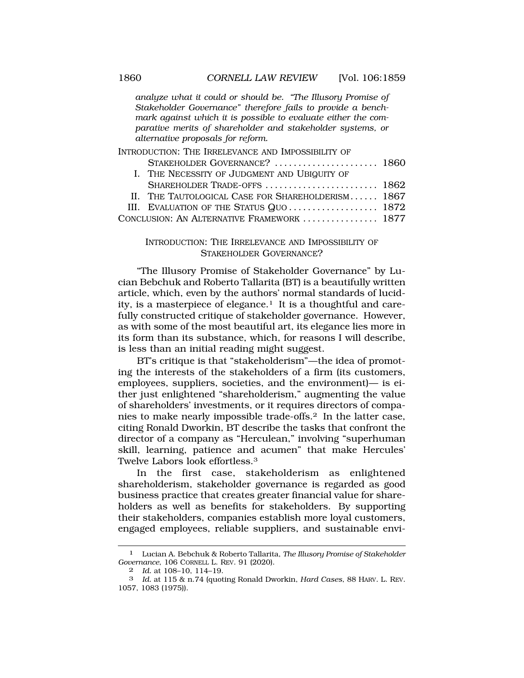*analyze what it could or should be. "The Illusory Promise of Stakeholder Governance" therefore fails to provide a benchmark against which it is possible to evaluate either the comparative merits of shareholder and stakeholder systems, or alternative proposals for reform.* 

| INTRODUCTION: THE IRRELEVANCE AND IMPOSSIBILITY OF |                                                   |  |
|----------------------------------------------------|---------------------------------------------------|--|
|                                                    | STAKEHOLDER GOVERNANCE?  1860                     |  |
|                                                    | I. THE NECESSITY OF JUDGMENT AND UBIQUITY OF      |  |
|                                                    | SHAREHOLDER TRADE-OFFS  1862                      |  |
|                                                    | II. THE TAUTOLOGICAL CASE FOR SHAREHOLDERISM 1867 |  |
|                                                    | III. EVALUATION OF THE STATUS QUO 1872            |  |
| CONCLUSION: AN ALTERNATIVE FRAMEWORK  1877         |                                                   |  |

## INTRODUCTION: THE IRRELEVANCE AND IMPOSSIBILITY OF STAKEHOLDER GOVERNANCE?

"The Illusory Promise of Stakeholder Governance" by Lucian Bebchuk and Roberto Tallarita (BT) is a beautifully written article, which, even by the authors' normal standards of lucidity, is a masterpiece of elegance.<sup>1</sup> It is a thoughtful and carefully constructed critique of stakeholder governance. However, as with some of the most beautiful art, its elegance lies more in its form than its substance, which, for reasons I will describe, is less than an initial reading might suggest.

BT's critique is that "stakeholderism"—the idea of promoting the interests of the stakeholders of a firm (its customers, employees, suppliers, societies, and the environment)— is either just enlightened "shareholderism," augmenting the value of shareholders' investments, or it requires directors of companies to make nearly impossible trade-offs.2 In the latter case, citing Ronald Dworkin, BT describe the tasks that confront the director of a company as "Herculean," involving "superhuman skill, learning, patience and acumen" that make Hercules' Twelve Labors look effortless.3

In the first case, stakeholderism as enlightened shareholderism, stakeholder governance is regarded as good business practice that creates greater financial value for shareholders as well as benefits for stakeholders. By supporting their stakeholders, companies establish more loyal customers, engaged employees, reliable suppliers, and sustainable envi-

<sup>1</sup> Lucian A. Bebchuk & Roberto Tallarita, *The Illusory Promise of Stakeholder Governance*, 106 CORNELL L. REV. 91 (2020).

<sup>2</sup> *Id.* at 108–10, 114–19.

<sup>3</sup> *Id.* at 115 & n.74 (quoting Ronald Dworkin, *Hard Cases*, 88 HARV. L. REV. 1057, 1083 (1975)).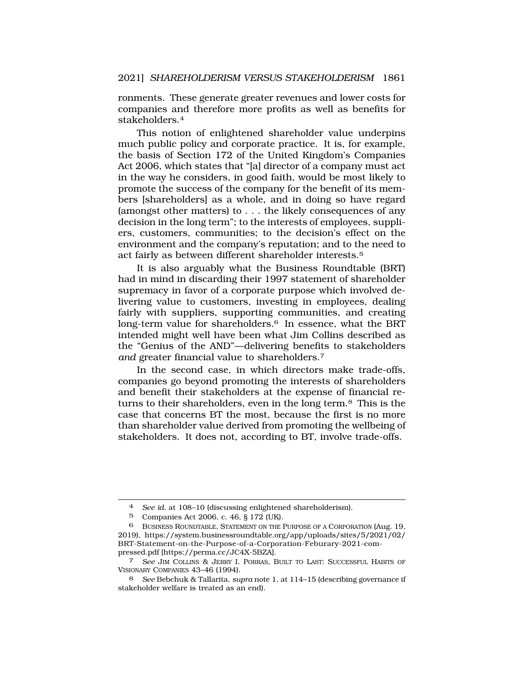ronments. These generate greater revenues and lower costs for companies and therefore more profits as well as benefits for stakeholders.4

This notion of enlightened shareholder value underpins much public policy and corporate practice. It is, for example, the basis of Section 172 of the United Kingdom's Companies Act 2006, which states that "[a] director of a company must act in the way he considers, in good faith, would be most likely to promote the success of the company for the benefit of its members [shareholders] as a whole, and in doing so have regard (amongst other matters) to . . . the likely consequences of any decision in the long term"; to the interests of employees, suppliers, customers, communities; to the decision's effect on the environment and the company's reputation; and to the need to act fairly as between different shareholder interests.5

It is also arguably what the Business Roundtable (BRT) had in mind in discarding their 1997 statement of shareholder supremacy in favor of a corporate purpose which involved delivering value to customers, investing in employees, dealing fairly with suppliers, supporting communities, and creating long-term value for shareholders.<sup>6</sup> In essence, what the BRT intended might well have been what Jim Collins described as the "Genius of the AND"—delivering benefits to stakeholders *and* greater financial value to shareholders.7

In the second case, in which directors make trade-offs, companies go beyond promoting the interests of shareholders and benefit their stakeholders at the expense of financial returns to their shareholders, even in the long term.8 This is the case that concerns BT the most, because the first is no more than shareholder value derived from promoting the wellbeing of stakeholders. It does not, according to BT, involve trade-offs.

<sup>4</sup> *See id.* at 108–10 (discussing enlightened shareholderism).

<sup>5</sup> Companies Act 2006, c. 46, § 172 (UK).

<sup>6</sup> BUSINESS ROUNDTABLE, STATEMENT ON THE PURPOSE OF A CORPORATION (Aug. 19, 2019), [https://system.businessroundtable.org/app/uploads/sites/5/2021/02/](https://system.businessroundtable.org/app/uploads/sites/5/2021/02) BRT-Statement-on-the-Purpose-of-a-Corporation-Feburary-2021-compressed.pdf [\[https://perma.cc/JC4X-5BZA\]](https://perma.cc/JC4X-5BZA).

<sup>7</sup> *See* JIM COLLINS & JERRY I. PORRAS, BUILT TO LAST: SUCCESSFUL HABITS OF VISIONARY COMPANIES 43–46 (1994).

<sup>8</sup> *See* Bebchuk & Tallarita, *supra* note 1, at 114–15 (describing governance if stakeholder welfare is treated as an end).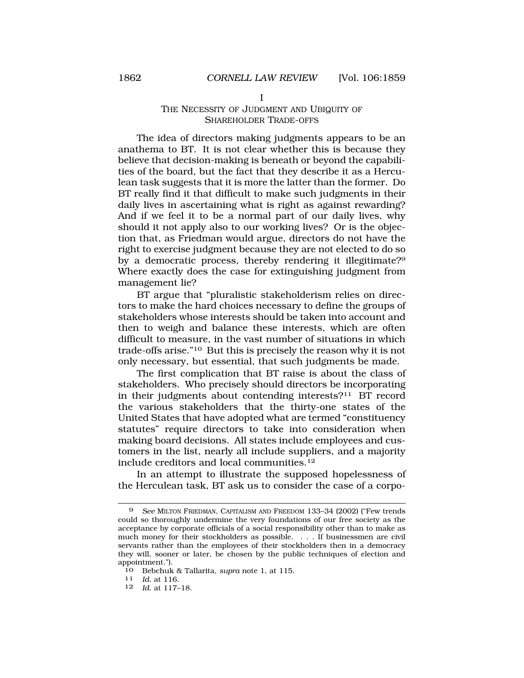## THE NECESSITY OF JUDGMENT AND UBIQUITY OF SHAREHOLDER TRADE-OFFS

I

The idea of directors making judgments appears to be an anathema to BT. It is not clear whether this is because they believe that decision-making is beneath or beyond the capabilities of the board, but the fact that they describe it as a Herculean task suggests that it is more the latter than the former. Do BT really find it that difficult to make such judgments in their daily lives in ascertaining what is right as against rewarding? And if we feel it to be a normal part of our daily lives, why should it not apply also to our working lives? Or is the objection that, as Friedman would argue, directors do not have the right to exercise judgment because they are not elected to do so by a democratic process, thereby rendering it illegitimate?<sup>9</sup> Where exactly does the case for extinguishing judgment from management lie?

BT argue that "pluralistic stakeholderism relies on directors to make the hard choices necessary to define the groups of stakeholders whose interests should be taken into account and then to weigh and balance these interests, which are often difficult to measure, in the vast number of situations in which trade-offs arise."10 But this is precisely the reason why it is not only necessary, but essential, that such judgments be made.

The first complication that BT raise is about the class of stakeholders. Who precisely should directors be incorporating in their judgments about contending interests?11 BT record the various stakeholders that the thirty-one states of the United States that have adopted what are termed "constituency statutes" require directors to take into consideration when making board decisions. All states include employees and customers in the list, nearly all include suppliers, and a majority include creditors and local [communities.12](https://communities.12) 

In an attempt to illustrate the supposed hopelessness of the Herculean task, BT ask us to consider the case of a corpo-

<sup>9</sup> *See* MILTON FRIEDMAN, CAPITALISM AND FREEDOM 133–34 (2002) ("Few trends could so thoroughly undermine the very foundations of our free society as the acceptance by corporate officials of a social responsibility other than to make as much money for their stockholders as possible. . . . If businessmen are civil servants rather than the employees of their stockholders then in a democracy they will, sooner or later, be chosen by the public techniques of election and appointment.").

<sup>10</sup> Bebchuk & Tallarita, *supra* note 1, at 115. 11 *Id.* at 116.

<sup>12</sup> *Id.* at 117–18.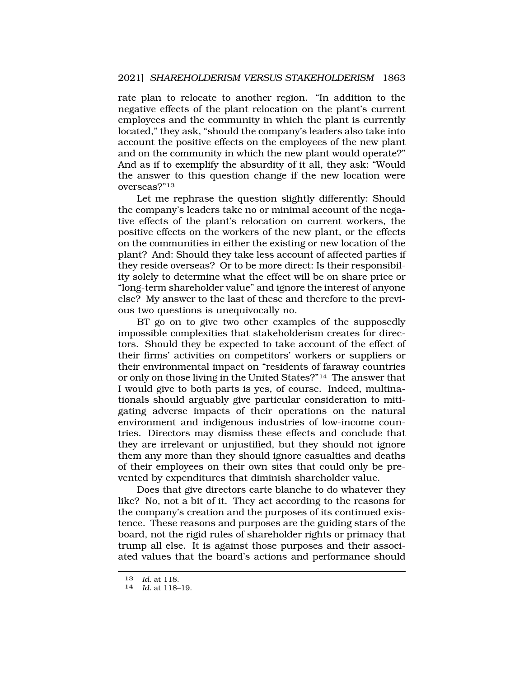rate plan to relocate to another region. "In addition to the negative effects of the plant relocation on the plant's current employees and the community in which the plant is currently located," they ask, "should the company's leaders also take into account the positive effects on the employees of the new plant and on the community in which the new plant would operate?" And as if to exemplify the absurdity of it all, they ask: "Would the answer to this question change if the new location were overseas?"13

Let me rephrase the question slightly differently: Should the company's leaders take no or minimal account of the negative effects of the plant's relocation on current workers, the positive effects on the workers of the new plant, or the effects on the communities in either the existing or new location of the plant? And: Should they take less account of affected parties if they reside overseas? Or to be more direct: Is their responsibility solely to determine what the effect will be on share price or "long-term shareholder value" and ignore the interest of anyone else? My answer to the last of these and therefore to the previous two questions is unequivocally no.

BT go on to give two other examples of the supposedly impossible complexities that stakeholderism creates for directors. Should they be expected to take account of the effect of their firms' activities on competitors' workers or suppliers or their environmental impact on "residents of faraway countries or only on those living in the United States?"14 The answer that I would give to both parts is yes, of course. Indeed, multinationals should arguably give particular consideration to mitigating adverse impacts of their operations on the natural environment and indigenous industries of low-income countries. Directors may dismiss these effects and conclude that they are irrelevant or unjustified, but they should not ignore them any more than they should ignore casualties and deaths of their employees on their own sites that could only be prevented by expenditures that diminish shareholder value.

Does that give directors carte blanche to do whatever they like? No, not a bit of it. They act according to the reasons for the company's creation and the purposes of its continued existence. These reasons and purposes are the guiding stars of the board, not the rigid rules of shareholder rights or primacy that trump all else. It is against those purposes and their associated values that the board's actions and performance should

<sup>13</sup>*Id.* at 118. 14 *Id.* at 118–19.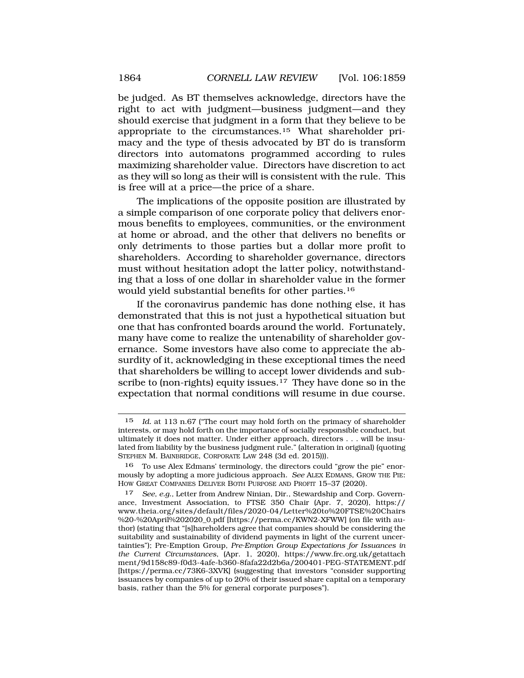be judged. As BT themselves acknowledge, directors have the right to act with judgment—business judgment—and they should exercise that judgment in a form that they believe to be appropriate to the [circumstances.15](https://circumstances.15) What shareholder primacy and the type of thesis advocated by BT do is transform directors into automatons programmed according to rules maximizing shareholder value. Directors have discretion to act as they will so long as their will is consistent with the rule. This is free will at a price—the price of a share.

The implications of the opposite position are illustrated by a simple comparison of one corporate policy that delivers enormous benefits to employees, communities, or the environment at home or abroad, and the other that delivers no benefits or only detriments to those parties but a dollar more profit to shareholders. According to shareholder governance, directors must without hesitation adopt the latter policy, notwithstanding that a loss of one dollar in shareholder value in the former would yield substantial benefits for other [parties.16](https://parties.16) 

If the coronavirus pandemic has done nothing else, it has demonstrated that this is not just a hypothetical situation but one that has confronted boards around the world. Fortunately, many have come to realize the untenability of shareholder governance. Some investors have also come to appreciate the absurdity of it, acknowledging in these exceptional times the need that shareholders be willing to accept lower dividends and subscribe to (non-rights) equity issues.<sup>17</sup> They have done so in the expectation that normal conditions will resume in due course.

<sup>15</sup> *Id.* at 113 n.67 ("The court may hold forth on the primacy of shareholder interests, or may hold forth on the importance of socially responsible conduct, but ultimately it does not matter. Under either approach, directors . . . will be insulated from liability by the business judgment rule." (alteration in original) (quoting STEPHEN M. BAINBRIDGE, CORPORATE LAW 248 (3d ed. 2015))).

<sup>16</sup> To use Alex Edmans' terminology, the directors could "grow the pie" enormously by adopting a more judicious approach. *See* ALEX EDMANS, GROW THE PIE: HOW GREAT COMPANIES DELIVER BOTH PURPOSE AND PROFIT 15–37 (2020).

<sup>17</sup> *See, e.g.,* Letter from Andrew Ninian, Dir., Stewardship and Corp. Governance, Investment Association, to FTSE 350 Chair (Apr. 7, 2020), https:// <www.theia.org/sites/default/files/2020-04/Letter%20to%20FTSE%20Chairs> %20-%20April%202020\_0.pdf [[https://perma.cc/KWN2-XFWW\]](https://perma.cc/KWN2-XFWW) (on file with author) (stating that "[s]hareholders agree that companies should be considering the suitability and sustainability of dividend payments in light of the current uncertainties"); Pre-Emption Group, *Pre-Emption Group Expectations for Issuances in the Current Circumstances*, (Apr. 1, 2020), <https://www.frc.org.uk/getattach> ment/9d158c89-f0d3-4afe-b360-8fafa22d2b6a/200401-PEG-STATEMENT.pdf [<https://perma.cc/73K6-3XVK>] (suggesting that investors "consider supporting issuances by companies of up to 20% of their issued share capital on a temporary basis, rather than the 5% for general corporate purposes").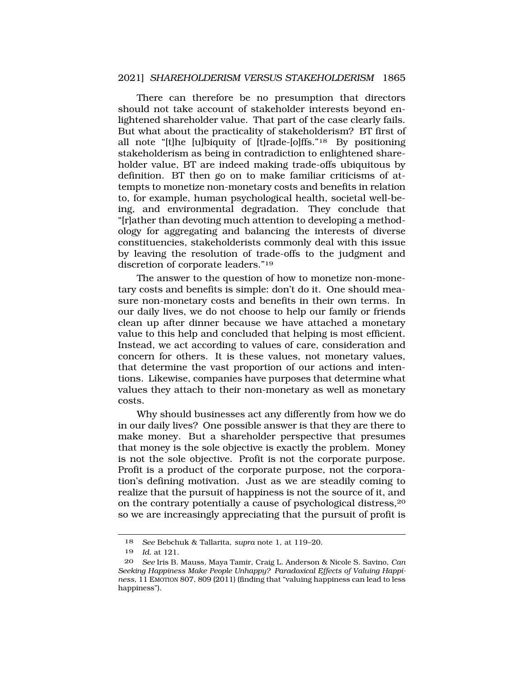There can therefore be no presumption that directors should not take account of stakeholder interests beyond enlightened shareholder value. That part of the case clearly fails. But what about the practicality of stakeholderism? BT first of all note "[t]he [u]biquity of [t]rade-[o]ffs."18 By positioning stakeholderism as being in contradiction to enlightened shareholder value, BT are indeed making trade-offs ubiquitous by definition. BT then go on to make familiar criticisms of attempts to monetize non-monetary costs and benefits in relation to, for example, human psychological health, societal well-being, and environmental degradation. They conclude that "[r]ather than devoting much attention to developing a methodology for aggregating and balancing the interests of diverse constituencies, stakeholderists commonly deal with this issue by leaving the resolution of trade-offs to the judgment and discretion of corporate leaders."19

The answer to the question of how to monetize non-monetary costs and benefits is simple: don't do it. One should measure non-monetary costs and benefits in their own terms. In our daily lives, we do not choose to help our family or friends clean up after dinner because we have attached a monetary value to this help and concluded that helping is most efficient. Instead, we act according to values of care, consideration and concern for others. It is these values, not monetary values, that determine the vast proportion of our actions and intentions. Likewise, companies have purposes that determine what values they attach to their non-monetary as well as monetary costs.

Why should businesses act any differently from how we do in our daily lives? One possible answer is that they are there to make money. But a shareholder perspective that presumes that money is the sole objective is exactly the problem. Money is not the sole objective. Profit is not the corporate purpose. Profit is a product of the corporate purpose, not the corporation's defining motivation. Just as we are steadily coming to realize that the pursuit of happiness is not the source of it, and on the contrary potentially a cause of psychological distress,20 so we are increasingly appreciating that the pursuit of profit is

<sup>18</sup> *See* Bebchuk & Tallarita, *supra* note 1, at 119–20.

<sup>19</sup> *Id.* at 121.

<sup>20</sup> *See* Iris B. Mauss, Maya Tamir, Craig L. Anderson & Nicole S. Savino, *Can Seeking Happiness Make People Unhappy? Paradoxical Effects of Valuing Happiness*, 11 EMOTION 807, 809 (2011) (finding that "valuing happiness can lead to less happiness").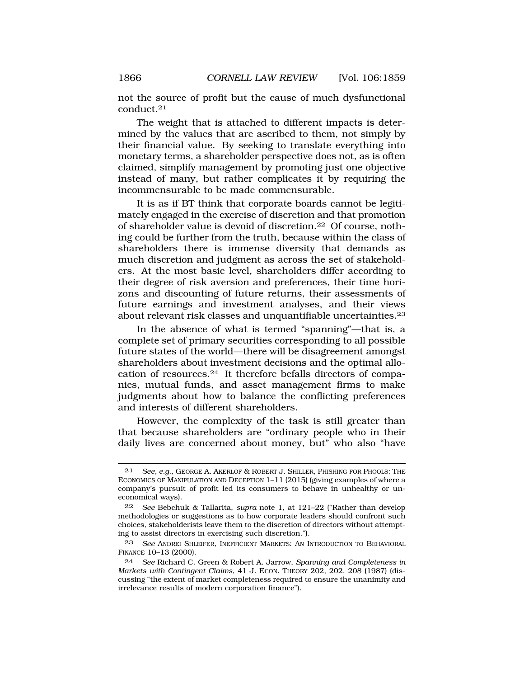not the source of profit but the cause of much dysfunctional [conduct.21](https://conduct.21) 

The weight that is attached to different impacts is determined by the values that are ascribed to them, not simply by their financial value. By seeking to translate everything into monetary terms, a shareholder perspective does not, as is often claimed, simplify management by promoting just one objective instead of many, but rather complicates it by requiring the incommensurable to be made commensurable.

It is as if BT think that corporate boards cannot be legitimately engaged in the exercise of discretion and that promotion of shareholder value is devoid of [discretion.22](https://discretion.22) Of course, nothing could be further from the truth, because within the class of shareholders there is immense diversity that demands as much discretion and judgment as across the set of stakeholders. At the most basic level, shareholders differ according to their degree of risk aversion and preferences, their time horizons and discounting of future returns, their assessments of future earnings and investment analyses, and their views about relevant risk classes and unquantifiable [uncertainties.23](https://uncertainties.23) 

In the absence of what is termed "spanning"—that is, a complete set of primary securities corresponding to all possible future states of the world—there will be disagreement amongst shareholders about investment decisions and the optimal allocation of [resources.24](https://resources.24) It therefore befalls directors of companies, mutual funds, and asset management firms to make judgments about how to balance the conflicting preferences and interests of different shareholders.

However, the complexity of the task is still greater than that because shareholders are "ordinary people who in their daily lives are concerned about money, but" who also "have

<sup>21</sup> *See, e.g.*, GEORGE A. AKERLOF & ROBERT J. SHILLER, PHISHING FOR PHOOLS: THE ECONOMICS OF MANIPULATION AND DECEPTION 1–11 (2015) (giving examples of where a company's pursuit of profit led its consumers to behave in unhealthy or uneconomical ways).

<sup>22</sup> *See* Bebchuk & Tallarita, *supra* note 1, at 121–22 ("Rather than develop methodologies or suggestions as to how corporate leaders should confront such choices, stakeholderists leave them to the discretion of directors without attempting to assist directors in exercising such discretion.").

<sup>23</sup> *See* ANDREI SHLEIFER, INEFFICIENT MARKETS: AN INTRODUCTION TO BEHAVIORAL FINANCE 10–13 (2000).

<sup>24</sup> *See* Richard C. Green & Robert A. Jarrow, *Spanning and Completeness in Markets with Contingent Claims*, 41 J. ECON. THEORY 202, 202, 208 (1987) (discussing "the extent of market completeness required to ensure the unanimity and irrelevance results of modern corporation finance").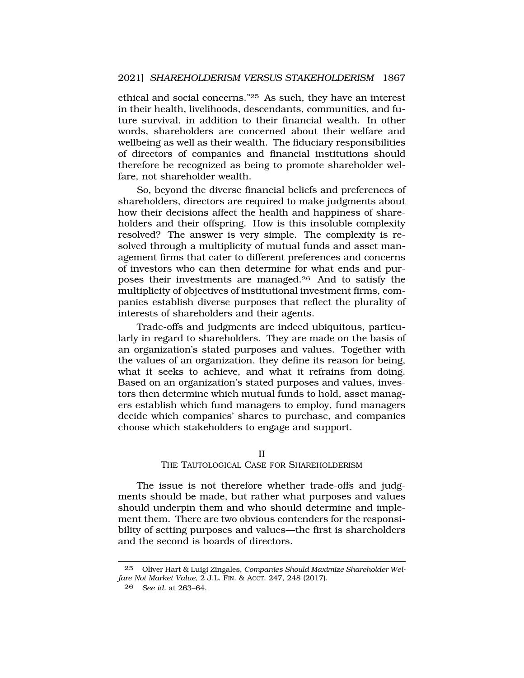ethical and social concerns."25 As such, they have an interest in their health, livelihoods, descendants, communities, and future survival, in addition to their financial wealth. In other words, shareholders are concerned about their welfare and wellbeing as well as their wealth. The fiduciary responsibilities of directors of companies and financial institutions should therefore be recognized as being to promote shareholder welfare, not shareholder wealth.

So, beyond the diverse financial beliefs and preferences of shareholders, directors are required to make judgments about how their decisions affect the health and happiness of shareholders and their offspring. How is this insoluble complexity resolved? The answer is very simple. The complexity is resolved through a multiplicity of mutual funds and asset management firms that cater to different preferences and concerns of investors who can then determine for what ends and purposes their investments are [managed.26](https://managed.26) And to satisfy the multiplicity of objectives of institutional investment firms, companies establish diverse purposes that reflect the plurality of interests of shareholders and their agents.

Trade-offs and judgments are indeed ubiquitous, particularly in regard to shareholders. They are made on the basis of an organization's stated purposes and values. Together with the values of an organization, they define its reason for being, what it seeks to achieve, and what it refrains from doing. Based on an organization's stated purposes and values, investors then determine which mutual funds to hold, asset managers establish which fund managers to employ, fund managers decide which companies' shares to purchase, and companies choose which stakeholders to engage and support.

#### II

### THE TAUTOLOGICAL CASE FOR SHAREHOLDERISM

The issue is not therefore whether trade-offs and judgments should be made, but rather what purposes and values should underpin them and who should determine and implement them. There are two obvious contenders for the responsibility of setting purposes and values—the first is shareholders and the second is boards of directors.

<sup>25</sup> Oliver Hart & Luigi Zingales, *Companies Should Maximize Shareholder Welfare Not Market Value*, 2 J.L. FIN. & ACCT. 247, 248 (2017).

<sup>26</sup> *See id.* at 263–64.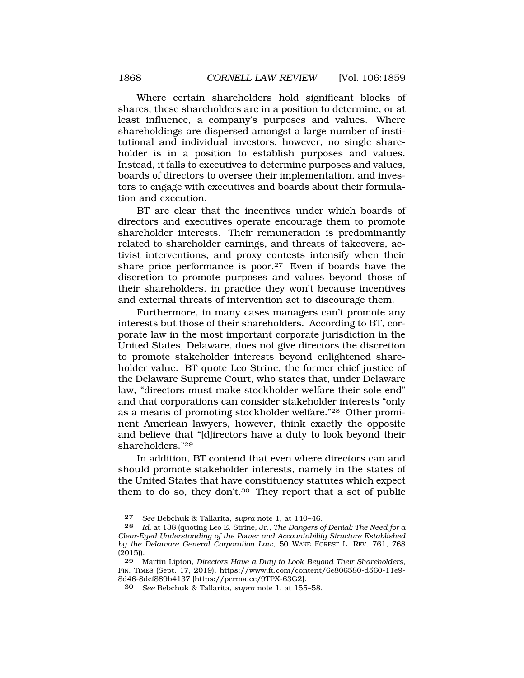Where certain shareholders hold significant blocks of shares, these shareholders are in a position to determine, or at least influence, a company's purposes and values. Where shareholdings are dispersed amongst a large number of institutional and individual investors, however, no single shareholder is in a position to establish purposes and values. Instead, it falls to executives to determine purposes and values, boards of directors to oversee their implementation, and investors to engage with executives and boards about their formulation and execution.

BT are clear that the incentives under which boards of directors and executives operate encourage them to promote shareholder interests. Their remuneration is predominantly related to shareholder earnings, and threats of takeovers, activist interventions, and proxy contests intensify when their share price performance is poor.27 Even if boards have the discretion to promote purposes and values beyond those of their shareholders, in practice they won't because incentives and external threats of intervention act to discourage them.

Furthermore, in many cases managers can't promote any interests but those of their shareholders. According to BT, corporate law in the most important corporate jurisdiction in the United States, Delaware, does not give directors the discretion to promote stakeholder interests beyond enlightened shareholder value. BT quote Leo Strine, the former chief justice of the Delaware Supreme Court, who states that, under Delaware law, "directors must make stockholder welfare their sole end" and that corporations can consider stakeholder interests "only as a means of promoting stockholder welfare."28 Other prominent American lawyers, however, think exactly the opposite and believe that "[d]irectors have a duty to look beyond their shareholders."29

In addition, BT contend that even where directors can and should promote stakeholder interests, namely in the states of the United States that have constituency statutes which expect them to do so, they [don't.30](https://don�t.30) They report that a set of public

<sup>27</sup> *See* Bebchuk & Tallarita, *supra* note 1, at 140–46.

<sup>28</sup> *Id.* at 138 (quoting Leo E. Strine, Jr., *The Dangers of Denial: The Need for a Clear-Eyed Understanding of the Power and Accountability Structure Established by the Delaware General Corporation Law*, 50 WAKE FOREST L. REV. 761, 768 (2015)).

<sup>29</sup> Martin Lipton, *Directors Have a Duty to Look Beyond Their Shareholders*, FIN. TIMES (Sept. 17, 2019), [https://www.ft.com/content/6e806580-d560-11e9-](https://www.ft.com/content/6e806580-d560-11e9) 8d46-8def889b4137 [<https://perma.cc/9TPX-63G2>].

<sup>30</sup> *See* Bebchuk & Tallarita, *supra* note 1, at 155–58.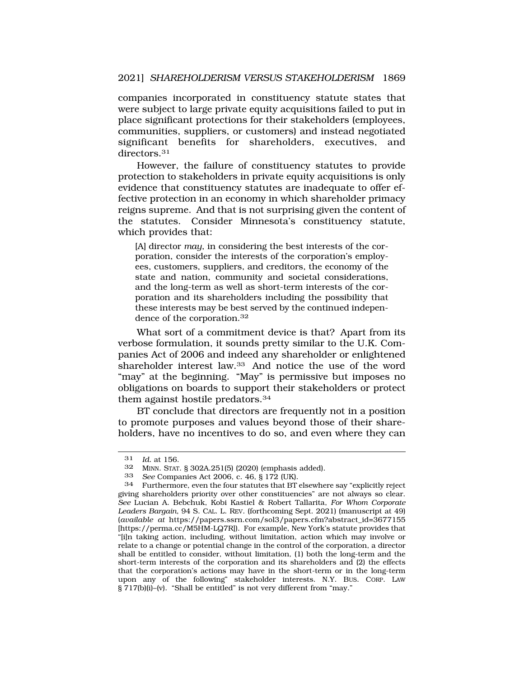companies incorporated in constituency statute states that were subject to large private equity acquisitions failed to put in place significant protections for their stakeholders (employees, communities, suppliers, or customers) and instead negotiated significant benefits for shareholders, executives, and directors.<sup>31</sup>

However, the failure of constituency statutes to provide protection to stakeholders in private equity acquisitions is only evidence that constituency statutes are inadequate to offer effective protection in an economy in which shareholder primacy reigns supreme. And that is not surprising given the content of the statutes. Consider Minnesota's constituency statute, which provides that:

[A] director *may*, in considering the best interests of the corporation, consider the interests of the corporation's employees, customers, suppliers, and creditors, the economy of the state and nation, community and societal considerations, and the long-term as well as short-term interests of the corporation and its shareholders including the possibility that these interests may be best served by the continued independence of the [corporation.32](https://corporation.32) 

What sort of a commitment device is that? Apart from its verbose formulation, it sounds pretty similar to the U.K. Companies Act of 2006 and indeed any shareholder or enlightened shareholder interest law.33 And notice the use of the word "may" at the beginning. "May" is permissive but imposes no obligations on boards to support their stakeholders or protect them against hostile [predators.34](https://predators.34) 

BT conclude that directors are frequently not in a position to promote purposes and values beyond those of their shareholders, have no incentives to do so, and even where they can

<sup>31</sup> *Id.* at 156.

<sup>32</sup> MINN. STAT.  $\S 302A.251(5)$  (2020) (emphasis added).<br>33 See Companies Act 2006 c 46 8 172 (UK)

<sup>33</sup> *See* Companies Act 2006, c. 46, § 172 (UK).

<sup>34</sup> Furthermore, even the four statutes that BT elsewhere say "explicitly reject giving shareholders priority over other constituencies" are not always so clear. *See* Lucian A. Bebchuk, Kobi Kastiel & Robert Tallarita, *For Whom Corporate Leaders Bargain*, 94 S. CAL. L. REV. (forthcoming Sept. 2021) (manuscript at 49) (*available at* [https://papers.ssrn.com/sol3/papers.cfm?abstract\\_id=3677155](https://papers.ssrn.com/sol3/papers.cfm?abstract_id=3677155) [[https://perma.cc/M5HM-LQ7R\]](https://perma.cc/M5HM-LQ7R)). For example, New York's statute provides that "[i]n taking action, including, without limitation, action which may involve or relate to a change or potential change in the control of the corporation, a director shall be entitled to consider, without limitation, (1) both the long-term and the short-term interests of the corporation and its shareholders and (2) the effects that the corporation's actions may have in the short-term or in the long-term upon any of the following" stakeholder interests. N.Y. BUS. CORP. LAW § 717(b)(i)–(v). "Shall be entitled" is not very different from "may."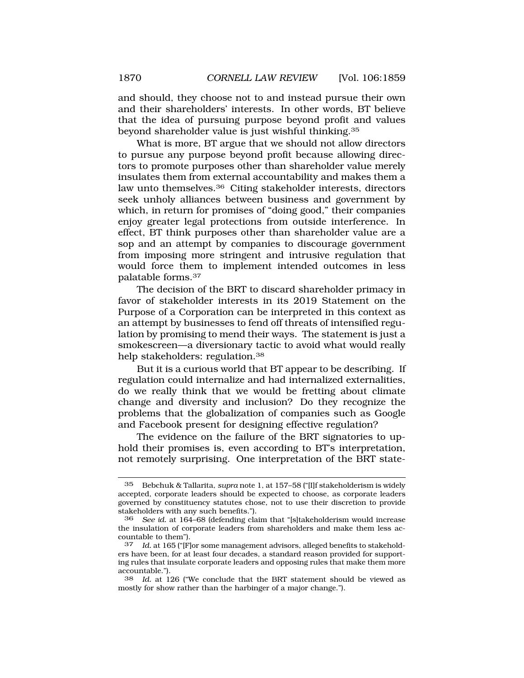and should, they choose not to and instead pursue their own and their shareholders' interests. In other words, BT believe that the idea of pursuing purpose beyond profit and values beyond shareholder value is just wishful [thinking.35](https://thinking.35)

What is more, BT argue that we should not allow directors to pursue any purpose beyond profit because allowing directors to promote purposes other than shareholder value merely insulates them from external accountability and makes them a law unto [themselves.36](https://themselves.36) Citing stakeholder interests, directors seek unholy alliances between business and government by which, in return for promises of "doing good," their companies enjoy greater legal protections from outside interference. In effect, BT think purposes other than shareholder value are a sop and an attempt by companies to discourage government from imposing more stringent and intrusive regulation that would force them to implement intended outcomes in less palatable [forms.37](https://forms.37)

The decision of the BRT to discard shareholder primacy in favor of stakeholder interests in its 2019 Statement on the Purpose of a Corporation can be interpreted in this context as an attempt by businesses to fend off threats of intensified regulation by promising to mend their ways. The statement is just a smokescreen—a diversionary tactic to avoid what would really help stakeholders: [regulation.38](https://regulation.38) 

But it is a curious world that BT appear to be describing. If regulation could internalize and had internalized externalities, do we really think that we would be fretting about climate change and diversity and inclusion? Do they recognize the problems that the globalization of companies such as Google and Facebook present for designing effective regulation?

The evidence on the failure of the BRT signatories to uphold their promises is, even according to BT's interpretation, not remotely surprising. One interpretation of the BRT state-

<sup>35</sup> Bebchuk & Tallarita, *supra* note 1, at 157–58 ("[I]f stakeholderism is widely accepted, corporate leaders should be expected to choose, as corporate leaders governed by constituency statutes chose, not to use their discretion to provide stakeholders with any such benefits.").

<sup>36</sup> *See id.* at 164–68 (defending claim that "[s]takeholderism would increase the insulation of corporate leaders from shareholders and make them less accountable to them").

<sup>37</sup> *Id.* at 165 ("[F]or some management advisors, alleged benefits to stakeholders have been, for at least four decades, a standard reason provided for supporting rules that insulate corporate leaders and opposing rules that make them more accountable.").

<sup>38</sup> *Id.* at 126 ("We conclude that the BRT statement should be viewed as mostly for show rather than the harbinger of a major change.").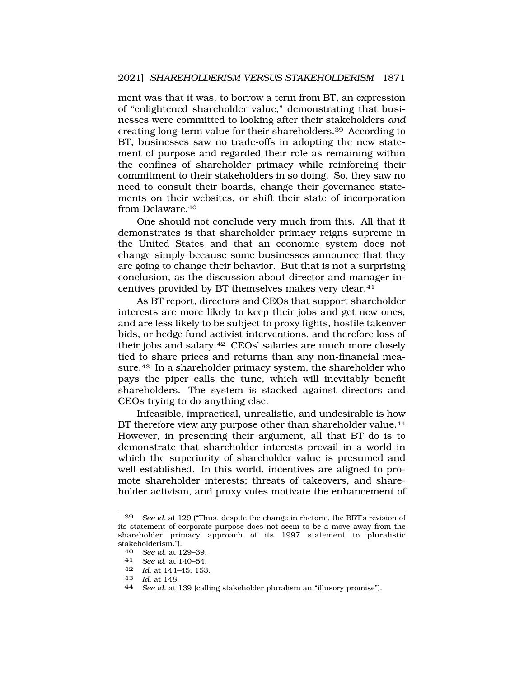ment was that it was, to borrow a term from BT, an expression of "enlightened shareholder value," demonstrating that businesses were committed to looking after their stakeholders *and*  creating long-term value for their [shareholders.39](https://shareholders.39) According to BT, businesses saw no trade-offs in adopting the new statement of purpose and regarded their role as remaining within the confines of shareholder primacy while reinforcing their commitment to their stakeholders in so doing. So, they saw no need to consult their boards, change their governance statements on their websites, or shift their state of incorporation from [Delaware.40](https://Delaware.40) 

One should not conclude very much from this. All that it demonstrates is that shareholder primacy reigns supreme in the United States and that an economic system does not change simply because some businesses announce that they are going to change their behavior. But that is not a surprising conclusion, as the discussion about director and manager incentives provided by BT themselves makes very [clear.41](https://clear.41)

As BT report, directors and CEOs that support shareholder interests are more likely to keep their jobs and get new ones, and are less likely to be subject to proxy fights, hostile takeover bids, or hedge fund activist interventions, and therefore loss of their jobs and [salary.42](https://salary.42) CEOs' salaries are much more closely tied to share prices and returns than any non-financial measure.43 In a shareholder primacy system, the shareholder who pays the piper calls the tune, which will inevitably benefit shareholders. The system is stacked against directors and CEOs trying to do anything else.

Infeasible, impractical, unrealistic, and undesirable is how BT therefore view any purpose other than shareholder value.<sup>44</sup> However, in presenting their argument, all that BT do is to demonstrate that shareholder interests prevail in a world in which the superiority of shareholder value is presumed and well established. In this world, incentives are aligned to promote shareholder interests; threats of takeovers, and shareholder activism, and proxy votes motivate the enhancement of

<sup>39</sup> *See id.* at 129 ("Thus, despite the change in rhetoric, the BRT's revision of its statement of corporate purpose does not seem to be a move away from the shareholder primacy approach of its 1997 statement to pluralistic stakeholderism.").

<sup>40</sup>*See id.* at 129–39. 41 *See id.* at 140–54.

<sup>42</sup> *Id.* at 144–45, 153.

<sup>43</sup>*Id.* at 148. 44 *See id.* at 139 (calling stakeholder pluralism an "illusory promise").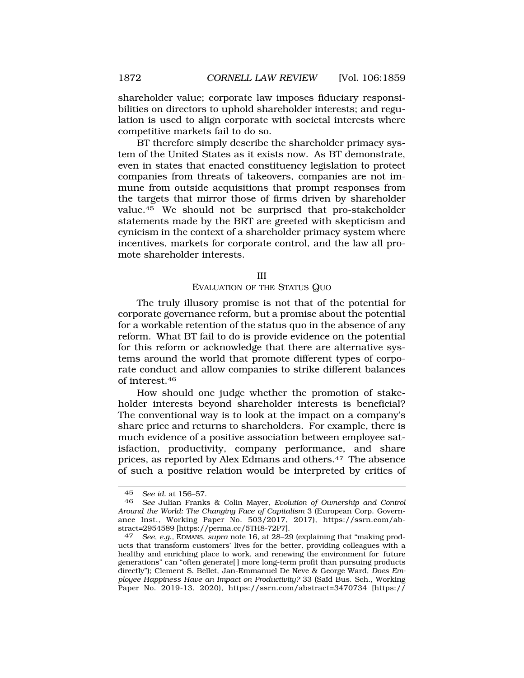shareholder value; corporate law imposes fiduciary responsibilities on directors to uphold shareholder interests; and regulation is used to align corporate with societal interests where competitive markets fail to do so.

BT therefore simply describe the shareholder primacy system of the United States as it exists now. As BT demonstrate, even in states that enacted constituency legislation to protect companies from threats of takeovers, companies are not immune from outside acquisitions that prompt responses from the targets that mirror those of firms driven by shareholder [value.45](https://value.45) We should not be surprised that pro-stakeholder statements made by the BRT are greeted with skepticism and cynicism in the context of a shareholder primacy system where incentives, markets for corporate control, and the law all promote shareholder interests.

#### III

#### EVALUATION OF THE STATUS QUO

The truly illusory promise is not that of the potential for corporate governance reform, but a promise about the potential for a workable retention of the status quo in the absence of any reform. What BT fail to do is provide evidence on the potential for this reform or acknowledge that there are alternative systems around the world that promote different types of corporate conduct and allow companies to strike different balances of [interest.46](https://interest.46) 

How should one judge whether the promotion of stakeholder interests beyond shareholder interests is beneficial? The conventional way is to look at the impact on a company's share price and returns to shareholders. For example, there is much evidence of a positive association between employee satisfaction, productivity, company performance, and share prices, as reported by Alex Edmans and [others.47](https://others.47) The absence of such a positive relation would be interpreted by critics of

<sup>45</sup> *See id.* at 156–57.

<sup>46</sup> *See* Julian Franks & Colin Mayer, *Evolution of Ownership and Control Around the World: The Changing Face of Capitalism* 3 (European Corp. Governance Inst., Working Paper No. 503/2017, 2017), <https://ssrn.com/ab>stract=2954589 [\[https://perma.cc/5TH8-72P7\]](https://perma.cc/5TH8-72P7). 47 *See, e.g.,* EDMANS, *supra* note 16, at 28–29 (explaining that "making prod-

ucts that transform customers' lives for the better, providing colleagues with a healthy and enriching place to work, and renewing the environment for future generations" can "often generate[ ] more long-term profit than pursuing products directly"); Clement S. Bellet, Jan-Emmanuel De Neve & George Ward, *Does Employee Happiness Have an Impact on Productivity?* 33 (Sa¨ıd Bus. Sch., Working Paper No. 2019-13, 2020), <https://ssrn.com/abstract=3470734> [https://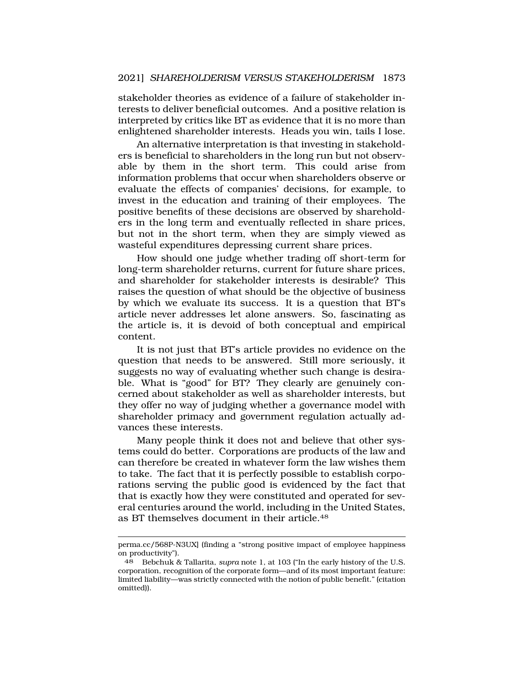stakeholder theories as evidence of a failure of stakeholder interests to deliver beneficial outcomes. And a positive relation is interpreted by critics like BT as evidence that it is no more than enlightened shareholder interests. Heads you win, tails I lose.

An alternative interpretation is that investing in stakeholders is beneficial to shareholders in the long run but not observable by them in the short term. This could arise from information problems that occur when shareholders observe or evaluate the effects of companies' decisions, for example, to invest in the education and training of their employees. The positive benefits of these decisions are observed by shareholders in the long term and eventually reflected in share prices, but not in the short term, when they are simply viewed as wasteful expenditures depressing current share prices.

How should one judge whether trading off short-term for long-term shareholder returns, current for future share prices, and shareholder for stakeholder interests is desirable? This raises the question of what should be the objective of business by which we evaluate its success. It is a question that BT's article never addresses let alone answers. So, fascinating as the article is, it is devoid of both conceptual and empirical content.

It is not just that BT's article provides no evidence on the question that needs to be answered. Still more seriously, it suggests no way of evaluating whether such change is desirable. What is "good" for BT? They clearly are genuinely concerned about stakeholder as well as shareholder interests, but they offer no way of judging whether a governance model with shareholder primacy and government regulation actually advances these interests.

Many people think it does not and believe that other systems could do better. Corporations are products of the law and can therefore be created in whatever form the law wishes them to take. The fact that it is perfectly possible to establish corporations serving the public good is evidenced by the fact that that is exactly how they were constituted and operated for several centuries around the world, including in the United States, as BT themselves document in their [article.48](https://article.48) 

perma.cc/568P-N3UX] (finding a "strong positive impact of employee happiness on productivity").

<sup>48</sup> Bebchuk & Tallarita, *supra* note 1, at 103 ("In the early history of the U.S. corporation, recognition of the corporate form—and of its most important feature: limited liability—was strictly connected with the notion of public benefit." (citation omitted)).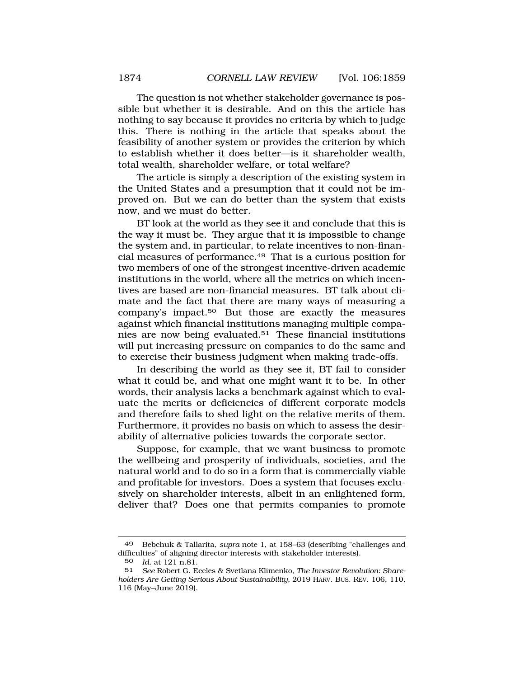The question is not whether stakeholder governance is possible but whether it is desirable. And on this the article has nothing to say because it provides no criteria by which to judge this. There is nothing in the article that speaks about the feasibility of another system or provides the criterion by which to establish whether it does better—is it shareholder wealth, total wealth, shareholder welfare, or total welfare?

The article is simply a description of the existing system in the United States and a presumption that it could not be improved on. But we can do better than the system that exists now, and we must do better.

BT look at the world as they see it and conclude that this is the way it must be. They argue that it is impossible to change the system and, in particular, to relate incentives to non-financial measures of [performance.49](https://performance.49) That is a curious position for two members of one of the strongest incentive-driven academic institutions in the world, where all the metrics on which incentives are based are non-financial measures. BT talk about climate and the fact that there are many ways of measuring a company's [impact.50](https://impact.50) But those are exactly the measures against which financial institutions managing multiple companies are now being [evaluated.51](https://evaluated.51) These financial institutions will put increasing pressure on companies to do the same and to exercise their business judgment when making trade-offs.

In describing the world as they see it, BT fail to consider what it could be, and what one might want it to be. In other words, their analysis lacks a benchmark against which to evaluate the merits or deficiencies of different corporate models and therefore fails to shed light on the relative merits of them. Furthermore, it provides no basis on which to assess the desirability of alternative policies towards the corporate sector.

Suppose, for example, that we want business to promote the wellbeing and prosperity of individuals, societies, and the natural world and to do so in a form that is commercially viable and profitable for investors. Does a system that focuses exclusively on shareholder interests, albeit in an enlightened form, deliver that? Does one that permits companies to promote

<sup>49</sup> Bebchuk & Tallarita, *supra* note 1, at 158–63 (describing "challenges and difficulties" of aligning director interests with stakeholder interests).

<sup>50</sup> *Id.* at 121 n.81.

<sup>51</sup> *See* Robert G. Eccles & Svetlana Klimenko, *The Investor Revolution: Shareholders Are Getting Serious About Sustainability,* 2019 HARV. BUS. REV. 106, 110, 116 (May–June 2019).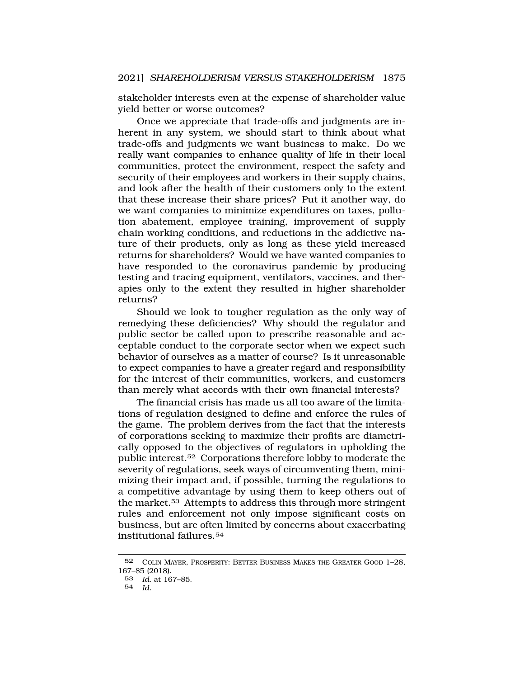stakeholder interests even at the expense of shareholder value yield better or worse outcomes?

Once we appreciate that trade-offs and judgments are inherent in any system, we should start to think about what trade-offs and judgments we want business to make. Do we really want companies to enhance quality of life in their local communities, protect the environment, respect the safety and security of their employees and workers in their supply chains, and look after the health of their customers only to the extent that these increase their share prices? Put it another way, do we want companies to minimize expenditures on taxes, pollution abatement, employee training, improvement of supply chain working conditions, and reductions in the addictive nature of their products, only as long as these yield increased returns for shareholders? Would we have wanted companies to have responded to the coronavirus pandemic by producing testing and tracing equipment, ventilators, vaccines, and therapies only to the extent they resulted in higher shareholder returns?

Should we look to tougher regulation as the only way of remedying these deficiencies? Why should the regulator and public sector be called upon to prescribe reasonable and acceptable conduct to the corporate sector when we expect such behavior of ourselves as a matter of course? Is it unreasonable to expect companies to have a greater regard and responsibility for the interest of their communities, workers, and customers than merely what accords with their own financial interests?

The financial crisis has made us all too aware of the limitations of regulation designed to define and enforce the rules of the game. The problem derives from the fact that the interests of corporations seeking to maximize their profits are diametrically opposed to the objectives of regulators in upholding the public [interest.52](https://interest.52) Corporations therefore lobby to moderate the severity of regulations, seek ways of circumventing them, minimizing their impact and, if possible, turning the regulations to a competitive advantage by using them to keep others out of the [market.53](https://market.53) Attempts to address this through more stringent rules and enforcement not only impose significant costs on business, but are often limited by concerns about exacerbating institutional [failures.54](https://failures.54) 

<sup>52</sup> COLIN MAYER, PROSPERITY: BETTER BUSINESS MAKES THE GREATER GOOD 1–28, 167–85 (2018).

<sup>53</sup> *Id.* at 167–85.

<sup>54</sup> *Id.*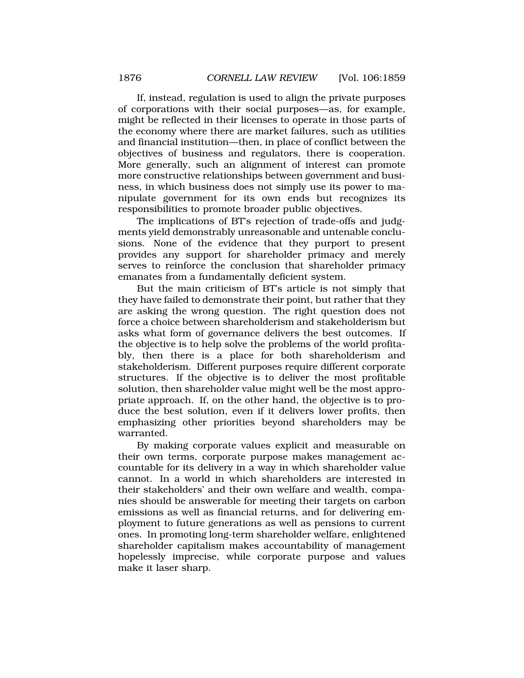If, instead, regulation is used to align the private purposes of corporations with their social purposes—as, for example, might be reflected in their licenses to operate in those parts of the economy where there are market failures, such as utilities and financial institution—then, in place of conflict between the objectives of business and regulators, there is cooperation. More generally, such an alignment of interest can promote more constructive relationships between government and business, in which business does not simply use its power to manipulate government for its own ends but recognizes its responsibilities to promote broader public objectives.

The implications of BT's rejection of trade-offs and judgments yield demonstrably unreasonable and untenable conclusions. None of the evidence that they purport to present provides any support for shareholder primacy and merely serves to reinforce the conclusion that shareholder primacy emanates from a fundamentally deficient system.

But the main criticism of BT's article is not simply that they have failed to demonstrate their point, but rather that they are asking the wrong question. The right question does not force a choice between shareholderism and stakeholderism but asks what form of governance delivers the best outcomes. If the objective is to help solve the problems of the world profitably, then there is a place for both shareholderism and stakeholderism. Different purposes require different corporate structures. If the objective is to deliver the most profitable solution, then shareholder value might well be the most appropriate approach. If, on the other hand, the objective is to produce the best solution, even if it delivers lower profits, then emphasizing other priorities beyond shareholders may be warranted.

By making corporate values explicit and measurable on their own terms, corporate purpose makes management accountable for its delivery in a way in which shareholder value cannot. In a world in which shareholders are interested in their stakeholders' and their own welfare and wealth, companies should be answerable for meeting their targets on carbon emissions as well as financial returns, and for delivering employment to future generations as well as pensions to current ones. In promoting long-term shareholder welfare, enlightened shareholder capitalism makes accountability of management hopelessly imprecise, while corporate purpose and values make it laser sharp.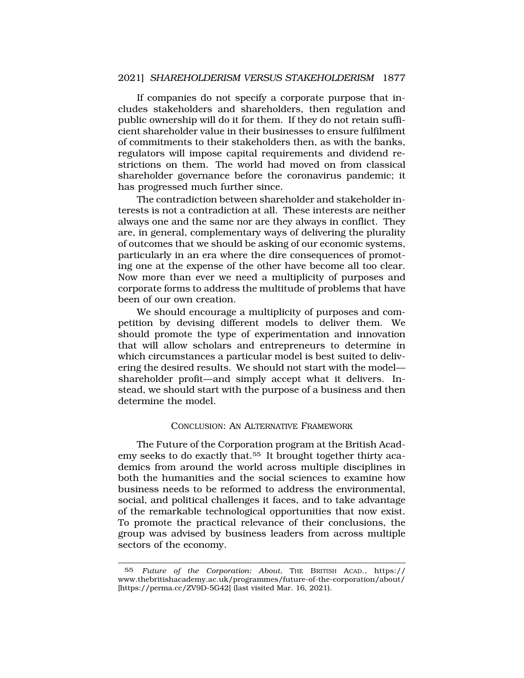If companies do not specify a corporate purpose that includes stakeholders and shareholders, then regulation and public ownership will do it for them. If they do not retain sufficient shareholder value in their businesses to ensure fulfilment of commitments to their stakeholders then, as with the banks, regulators will impose capital requirements and dividend restrictions on them. The world had moved on from classical shareholder governance before the coronavirus pandemic; it has progressed much further since.

The contradiction between shareholder and stakeholder interests is not a contradiction at all. These interests are neither always one and the same nor are they always in conflict. They are, in general, complementary ways of delivering the plurality of outcomes that we should be asking of our economic systems, particularly in an era where the dire consequences of promoting one at the expense of the other have become all too clear. Now more than ever we need a multiplicity of purposes and corporate forms to address the multitude of problems that have been of our own creation.

We should encourage a multiplicity of purposes and competition by devising different models to deliver them. We should promote the type of experimentation and innovation that will allow scholars and entrepreneurs to determine in which circumstances a particular model is best suited to delivering the desired results. We should not start with the model shareholder profit—and simply accept what it delivers. Instead, we should start with the purpose of a business and then determine the model.

### CONCLUSION: AN ALTERNATIVE FRAMEWORK

The Future of the Corporation program at the British Academy seeks to do exactly that.55 It brought together thirty academics from around the world across multiple disciplines in both the humanities and the social sciences to examine how business needs to be reformed to address the environmental, social, and political challenges it faces, and to take advantage of the remarkable technological opportunities that now exist. To promote the practical relevance of their conclusions, the group was advised by business leaders from across multiple sectors of the economy.

<sup>55</sup> *Future of the Corporation: About*, THE BRITISH ACAD., https:// <www.thebritishacademy.ac.uk/programmes/future-of-the-corporation/about>/ [\[https://perma.cc/ZV9D-5G42\]](https://perma.cc/ZV9D-5G42) (last visited Mar. 16, 2021).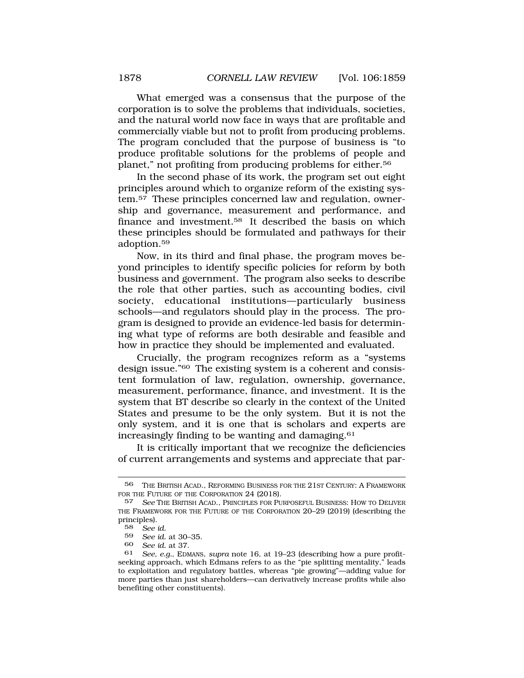What emerged was a consensus that the purpose of the corporation is to solve the problems that individuals, societies, and the natural world now face in ways that are profitable and commercially viable but not to profit from producing problems. The program concluded that the purpose of business is "to produce profitable solutions for the problems of people and planet," not profiting from producing problems for [either.56](https://either.56)

In the second phase of its work, the program set out eight principles around which to organize reform of the existing system.57 These principles concerned law and regulation, ownership and governance, measurement and performance, and finance and [investment.58](https://investment.58) It described the basis on which these principles should be formulated and pathways for their [adoption.59](https://adoption.59)

Now, in its third and final phase, the program moves beyond principles to identify specific policies for reform by both business and government. The program also seeks to describe the role that other parties, such as accounting bodies, civil society, educational institutions—particularly business schools—and regulators should play in the process. The program is designed to provide an evidence-led basis for determining what type of reforms are both desirable and feasible and how in practice they should be implemented and evaluated.

Crucially, the program recognizes reform as a "systems design issue."60 The existing system is a coherent and consistent formulation of law, regulation, ownership, governance, measurement, performance, finance, and investment. It is the system that BT describe so clearly in the context of the United States and presume to be the only system. But it is not the only system, and it is one that is scholars and experts are increasingly finding to be wanting and [damaging.61](https://damaging.61)

It is critically important that we recognize the deficiencies of current arrangements and systems and appreciate that par-

60 *See id.* at 37.

<sup>56</sup> THE BRITISH ACAD., REFORMING BUSINESS FOR THE 21ST CENTURY: A FRAMEWORK FOR THE FUTURE OF THE CORPORATION 24 (2018).

<sup>57</sup> *See* THE BRITISH ACAD., PRINCIPLES FOR PURPOSEFUL BUSINESS: HOW TO DELIVER THE FRAMEWORK FOR THE FUTURE OF THE CORPORATION 20–29 (2019) (describing the principles).

<sup>58</sup> *See id.* 

<sup>59</sup> *See id.* at 30–35.

<sup>61</sup> *See, e.g.*, EDMANS, *supra* note 16, at 19–23 (describing how a pure profitseeking approach, which Edmans refers to as the "pie splitting mentality," leads to exploitation and regulatory battles, whereas "pie growing"—adding value for more parties than just shareholders—can derivatively increase profits while also benefiting other constituents).